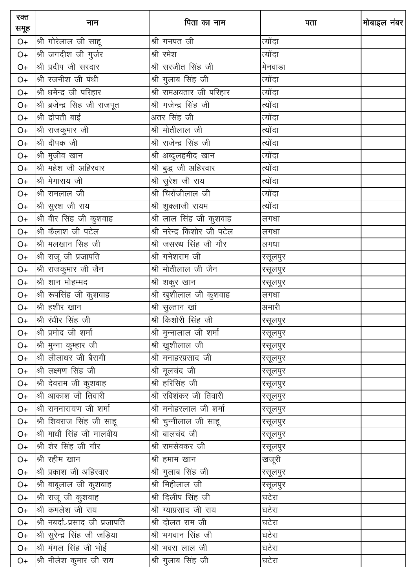| रक्त<br>समूह | नाम                            | पिता का नाम                   | पता     | मोबाइल नंबर |
|--------------|--------------------------------|-------------------------------|---------|-------------|
| $O+$         | श्री गोरेलाल जी साहू           | श्री गनपत जी                  | त्योंदा |             |
| $O+$         | श्री जगदीश जी गुर्जर           | श्री रमेश                     | त्योंदा |             |
| $O+$         | श्री प्रदीप जी सरदार           | श्री सरजीत सिंह जी            | मेनवाडा |             |
| $O+$         | श्री रजनीश जी पंथी             | श्री गुलाब सिंह जी            | त्योंदा |             |
| $O+$         | श्री धर्मेन्द्र जी परिहार      | श्री रामअवतार जी परिहार       | त्योंदा |             |
| $O+$         | श्री ब्रजेन्द्र सिह जी राजपूत  | श्री गजेन्द्र सिंह जी         | त्योंदा |             |
| $O+$         | श्री द्रोपती बाई               | अतर सिंह जी                   | त्योंदा |             |
| $O+$         | श्री राजकुमार जी               | श्री मोतीलाल जी               | त्योंदा |             |
| $O+$         | श्री दीपक जी                   | श्री राजेन्द्र सिंह जी        | त्योंदा |             |
| $O+$         | श्री मुजीव खान                 | श्री अब्दुलहमीद खान           | त्योंदा |             |
| $O+$         | श्री महेश जी अहिरवार           | श्री बुद्ध जी अहिरवार         | त्योंदा |             |
| $O+$         | श्री मेगाराय जी                | <u>श्री सु</u> रेश जी राय     | त्योंदा |             |
| $O+$         | श्री रामलाल जी                 | श्री चिरोंजीलाल जी            | त्योंदा |             |
| $O+$         | श्री सुरश जी राय               | श्री शुक्लाजी रायम            | त्योंदा |             |
| $O+$         | श्री वीर सिंह जी कुशवाह        | ्र<br>श्री लाल सिंह जी कुशवाह | लगधा    |             |
| $O+$         | श्री कैलाश जी पटेल             | श्री नरेन्द्र किशोर जी पटेल   | लगधा    |             |
| $O+$         | श्री मलखान सिंह जी             | श्री जसरथ सिंह जी गौर         | लगधा    |             |
| $O+$         | श्री राजू जी प्रजापति          | श्री गनेशराम जी               | रसूलपुर |             |
| $O+$         | श्री राजकुमार जी जैन           | श्री मोतीलाल जी जैन           | रसूलपुर |             |
| $O+$         | श्री शान मोहम्मद               | श्री शकुर खान                 | रसूलपुर |             |
| $O+$         | श्री रूपसिंह जी कुशवाह         | श्री खुशीलाल जी कुशवाह        | लगधा    |             |
| $O+$         | श्री हशीर खान                  | श्री सुल्तान खां              | अमारी   |             |
| $O+$         | श्री रंधीर सिंह जी             | श्री किशोरी सिंह जी           | रसूलपुर |             |
| $O+$         | श्री प्रमोद जी शर्मा           | श्री मुन्नालाल जी शर्मा       | रसूलपुर |             |
| $O+$         | श्री मुन्ना कुम्हार जी         | श्री खुशीलाल जी               | रसूलपुर |             |
| $O+$         | श्री लीलाधर जी बैरागी          | श्री मनाहरप्रसाद जी           | रसूलपुर |             |
| O+           | श्री लक्ष्मण सिंह जी           | श्री मूलचंद जी                | रसूलपुर |             |
| O+           | श्री देवराम जी कुशवाह          | श्री हरिसिंह जी               | रसूलपुर |             |
| $O+$         | श्री आकाश जी तिवारी            | श्री रविशंकर जी तिवारी        | रसूलपुर |             |
| $O+$         | श्री रामनारायण जी शर्मा        | श्री मनोहरलाल जी शर्मा        | रसूलपुर |             |
| O+           | श्री शिवराज सिंह जी साहू       | श्री चुन्नीलाल जी साहू        | रसूलपुर |             |
| O+           | श्री माधौ सिंह जी मालवीय       | श्री बालचंद जी                | रसूलपुर |             |
| $O+$         | श्री शेर सिंह जी गौर           | श्री रामसेवकर जी              | रसूलपुर |             |
| O+           | श्री रहीम खान                  | श्री हमाम खान                 | खजूरी   |             |
| $O+$         | श्री प्रकाश जी अहिरवार         | श्री गुलाब सिंह जी            | रसूलपुर |             |
| O+           | श्री बाबूलाल जी कुशवाह         | <u>श्री मिही</u> लाल जी       | रसूलपुर |             |
| O+           | श्री राजू जी कुशवाह            | श्री दिलीप सिंह जी            | घटेरा   |             |
| O+           | श्री कमलेश जी राय              | श्री ग्याप्रसाद जी राय        | घटेरा   |             |
| O+           | श्री नबर्दा>प्रसाद जी प्रजापति | श्री दोलत राम जी              | घटेरा   |             |
| O+           | श्री सुरेन्द्र सिंह जी जड़िया  | श्री भगवान सिंह जी            | घटेरा   |             |
| $O+$         | श्री मंगल सिंह जी भोई          | श्री भवरा लाल जी              | घटेरा   |             |
| $O+$         | श्री नीलेश कुमार जी राय        | श्री गुलाब सिंह जी            | घटेरा   |             |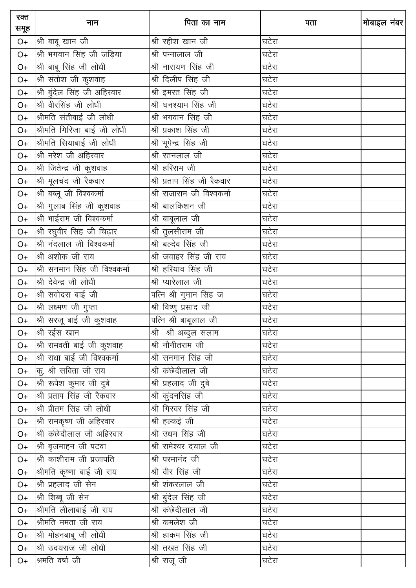| रक्त<br>समूह  | नाम                           | पिता का नाम                | पता   | मोबाइल नंबर |
|---------------|-------------------------------|----------------------------|-------|-------------|
| O+            | श्री बाबू खान जी              | श्री रहीश खान जी           | घटेरा |             |
| $O+$          | श्री भगवान सिंह जी जड़िया     | श्री पन्नालाल जी           | घटेरा |             |
| $O+$          | श्री बाबू सिंह जी लोधी        | श्री नारायण सिंह जी        | घटेरा |             |
| $O+$          | श्री संतोश जी कुशवाह          | श्री दिलीप सिंह जी         | घटेरा |             |
| $O+$          | श्री बुंदेल सिंह जी अहिरवार   | श्री इमरत सिंह जी          | घटेरा |             |
| $O+$          | श्री वीरसिंह जी लोधी          | श्री घनश्याम सिंह जी       | घटेरा |             |
| $O+$          | श्रीमति संतीबाई जी लोधी       | श्री भगवान सिंह जी         | घटेरा |             |
| $O+$          | श्रीमति गिरिजा बाई जी लोधी    | श्री प्रकाश सिंह जी        | घटेरा |             |
| $O+$          | श्रीमति सियाबाई जी लोधी       | श्री भूपेन्द्र सिंह जी     | घटेरा |             |
| $O+$          | श्री नरेश जी अहिरवार          | श्री रतनलाल जी             | घटेरा |             |
| $O+$          | श्री जितेन्द्र जी कुशवाह      | श्री हरिराम जी             | घटेरा |             |
| $O+$          | श्री मूलचंद जी रैकवार         | श्री प्रताप सिंह जी रैकवार | घटेरा |             |
| $O+$          | श्री बब्लू जी विश्वकर्मा      | श्री राजाराम जी विश्वकर्मा | घटेरा |             |
| $\mathsf{O}+$ | श्री गुलाब सिंह जी कुशवाह     | __<br>श्री बालकिशन जी      | घटेरा |             |
| $O+$          | श्री भाईराम जी विश्वकर्मा     | श्री बाबूलाल जी            | घटेरा |             |
| $O+$          | श्री रघुवीर सिंह जी चिढ़ार    | श्री तुलसीराम जी           | घटेरा |             |
| $O+$          | श्री नंदलाल जी विश्वकर्मा     | __<br>श्री बल्देव सिंह जी  | घटेरा |             |
| $O+$          | श्री अशोक जी राय              | श्री जवाहर सिंह जी राय     | घटेरा |             |
| $O+$          | श्री सनमान सिंह जी विश्वकर्मा | श्री हरियाव सिंह जी        | घटेरा |             |
| $O+$          | श्री देवेन्द्र जी लोधी        | श्री प्यारेलाल जी          | घटेरा |             |
| $O+$          | श्री सवोदरा बाई जी            | पत्नि श्री गुमान सिंह ज    | घटेरा |             |
| $O+$          | श्री लक्ष्मण जी गुप्ता        | श्री विष्णु प्रसाद जी      | घटेरा |             |
| $O+$          | श्री सरजू बाई जी कुशवाह       | पत्नि श्री बाबूलाल जी      | घटेरा |             |
| $O+$          | श्री रईस खान                  | श्री श्री अब्दुल सलाम      | घटेरा |             |
| $O+$          | श्री रामवती बाई जी कुशवाह     | श्री नौनीतराम जी           | घटेरा |             |
| $O+$          | श्री राधा बाई जी विश्वकर्मा   | श्री सनमान सिंह जी         | घटेरा |             |
| $O+$          | कु. श्री सविता जी राय         |                            | घटेरा |             |
| O+            | श्री रूपेश कुमार जी दुबे      | श्री प्रहलाद जी दुबे       | घटेरा |             |
| $O+$          | श्री प्रताप सिंह जी रैकवार    | श्री कुंदनसिंह जी          | घटेरा |             |
| $O+$          | श्री प्रीतम सिंह जी लोधी      | श्री गिरवर सिंह जी         | घटेरा |             |
| O+            | श्री रामकृष्ण जी अहिरवार      | श्री हल्कई जी              | घटेरा |             |
| $O+$          | श्री कंछेदीलाल जी अहिरवार     | श्री उधम सिंह जी           | घटेरा |             |
| O+            | श्री बृजमाहन जी पटवा          | श्री रामेश्वर दयाल जी      | घटेरा |             |
| $O+$          | श्री काशीराम जी प्रजापति      | श्री परमानंद जी            | घटेरा |             |
| $O+$          | श्रीमति कृष्णा बाई जी राय     | श्री वीर सिंह जी           | घटेरा |             |
| $O+$          | श्री प्रहलाद जी सेन           | श्री शंकरलाल जी            | घटेरा |             |
| O+            | श्री शिब्बू जी सेन            | श्री बुंदेल सिंह जी        | घटेरा |             |
| O+            | श्रीमति लीलाबाई जी राय        | श्री कंछेदीलाल जी          | घटेरा |             |
| $O+$          | श्रीमति ममता जी राय           | श्री कमलेश जी              | घटेरा |             |
| O+            | श्री मोहनबाबू जी लोधी         | <u>श्री हाकम सिंह जी</u>   | घटेरा |             |
| $O+$          | श्री उदयराज जी लोधी           | श्री तखत सिंह जी           | घटेरा |             |
| $O+$          | श्रमति वर्षा जी               | श्री राजू जी               | घटेरा |             |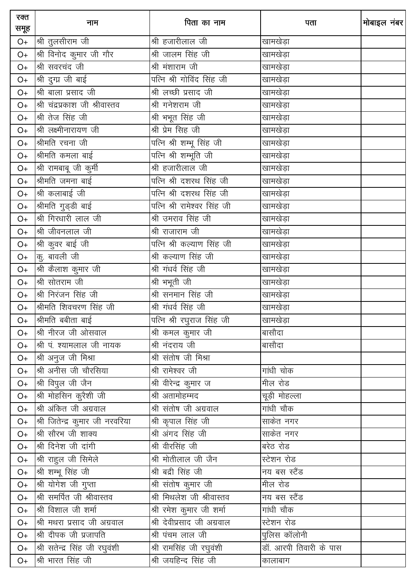| रक्त<br>समूह | नाम                             | पिता का नाम                     | पता                    | मोबाइल नंबर |
|--------------|---------------------------------|---------------------------------|------------------------|-------------|
| $O+$         | श्री तुलसीराम जी                | श्री हजारीलाल जी                | खामखेड़ा               |             |
| $O+$         | श्री विनोद कुमार जी गौर         | श्री जालम सिंह जी               | खामखेड़ा               |             |
| $O+$         | श्री सवरचंद जी                  | श्री मंशाराम जी                 | खामखेड़ा               |             |
| $O+$         | श्री दुग्प्र जी बाई             | पत्नि श्री गोविंद सिंह जी       | खामखेड़ा               |             |
| $O+$         | श्री बाला प्रसाद जी             | श्री लच्छी प्रसाद जी            | खामखेड़ा               |             |
| $O+$         | श्री चंद्रप्रकाश जी श्रीवास्तव  | श्री गनेशराम जी                 | खामखेड़ा               |             |
| $O+$         | श्री तेज सिंह जी                | श्री भभूत सिंह जी               | खामखेड़ा               |             |
| $O+$         | श्री लक्ष्मीनारायण जी           | श्री प्रेम सिह जी               | खामखेड़ा               |             |
| $O+$         | श्रीमति रचना जी                 | पत्नि श्री शम्भू सिंह जी        | खामखेड़ा               |             |
| $O+$         | श्रीमति कमला बाई                | पत्नि श्री शम्भूति जी           | खामखेड़ा               |             |
| $O+$         | श्री रामबाबू जी कुर्मी          | श्री हजारीलाल जी                | खामखेड़ा               |             |
| $O+$         | श्रीमति जमना बाई                | पत्नि श्री दशरथ सिंह जी         | खामखेड़ा               |             |
| $O+$         | श्री कलाबाई जी                  | पत्नि श्री दशरथ सिंह जी         | खामखेड़ा               |             |
| $O+$         | श्रीमति गुड्डी बाई              | पत्नि श्री रामेश्वर सिंह जी     | खामखेड़ा               |             |
| $O+$         | श्री गिरधारी लाल जी             | श्री उमराव सिंह जी              | खामखेड़ा               |             |
| $O+$         | श्री जीवनलाल जी                 | श्री राजाराम जी                 | खामखेड़ा               |             |
| $O+$         | श्री कुवर बाई जी                | पत्नि श्री कल्याण सिंह जी       | खामखेड़ा               |             |
| $O+$         | कु. बावली जी                    | श्री कल्याण सिंह जी             | खामखेड़ा               |             |
| $O+$         | श्री कैलाश कुमार जी             | श्री गंधर्व सिंह जी             | खामखेड़ा               |             |
| $O+$         | श्री सोतराम जी                  | श्री भभूती जी                   | खामखेड़ा               |             |
| $O+$         | श्री निरंजन सिंह जी             | श्री सनमान सिंह जी              | खामखेड़ा               |             |
| $O+$         | श्रीमति शिवचरण सिंह जी          | श्री गंधर्व सिंह जी             | खामखेड़ा               |             |
| $O+$         | श्रीमति बबीता बाई               | पत्नि श्री रघुराज सिंह जी       | खामखेड़ा               |             |
| $O+$         | श्री नीरज जी ओसवाल              | श्री कमल कुमार जी               | बासौदा                 |             |
| $O+$         | श्री पं. श्यामलाल जी नायक       | श्री नंदराय जी                  | बासौदा                 |             |
| $O+$         | श्री अनुज जी मिश्रा             | श्री संतोष जी मिश्रा            |                        |             |
| $O+$         | श्री अनीस जी चौरसिया            | श्री रामेश्वर जी                | गांधी चोक              |             |
| O+           | श्री विपुल जी जैन               | श्री वीरेन्द्र कुमार ज          | मील रोड                |             |
| O+           | श्री मोहसिन कुरैशी जी           | श्री अतामोहम्मद                 | चूड़ी मोहल्ला          |             |
| $O+$         | श्री अंकित जी अग्रवाल           | श्री संतोष जी अग्रवाल           | गांधी चौक              |             |
| O+           | श्री जितेन्द्र कुमार जी नरवरिया | श्री कृपाल सिंह जी              | साकेत नगर              |             |
| O+           | श्री सौरभ जी शाक्य              | श्री अंगद सिंह जी               | साकेत नगर              |             |
| $O+$         | श्री दिनेश जी दांगी             | श्री वीरसिंह जी                 | बरेठ रोड               |             |
| O+           | श्री राहुल जी सिमेले            | श्री मोतीलाल जी जैन             | स्टेशन रोड             |             |
| O+           | श्री शम्भू सिंह जी              | <u>.<br/>श्री बद्री सिंह जी</u> | नय बस स्टैंड           |             |
| O+           | श्री योगेश जी गुप्ता            | श्री संतोष कुमार जी             | मील रोड                |             |
| $O+$         | श्री समर्पित जी श्रीवास्तव      | श्री मिथलेश जी श्रीवास्तव       | नय बस स्टैंड           |             |
| O+           | श्री विशाल जी शर्मा             | श्री रमेश कुमार जी शर्मा        | गांधी चौक              |             |
| $O+$         | श्री मथरा प्रसाद जी अग्रवाल     | श्री देवीप्रसाद जी अग्रवाल      | स्टेशन रोड             |             |
| $O+$         | श्री दीपक जी प्रजापति           | श्री पंचम लाल जी                | पुलिस कॉलोनी           |             |
| O+           | श्री सतेन्द्र सिंह जी रघुवंशी   | श्री रामसिंह जी रघुवंशी         | डॉ. आरपी तिवारी के पास |             |
| O+           | श्री भारत सिंह जी               | श्री जयहिन्द सिंह जी            | कालाबाग                |             |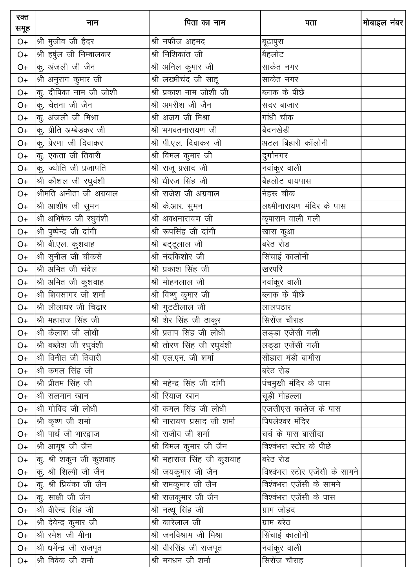| रक्त<br>समूह  | नाम                       | पिता का नाम                                        | पता                             | मोबाइल नंबर |
|---------------|---------------------------|----------------------------------------------------|---------------------------------|-------------|
| O+            | श्री मुजीव जी हैदर        | श्री नफीज अहमद                                     | बूढ़ापुरा                       |             |
| $O+$          | श्री हर्षुल जी निम्बालकर  | श्री निशिकांत जी                                   | बैहलोट                          |             |
| $O+$          | कू. अंजली जी जैन          | श्री अनिल कुमार जी                                 | साकेत नगर                       |             |
| $O+$          | श्री अनुराग कुमार जी      |                                                    | साकेत नगर                       |             |
| $O+$          | कु. दीपिका नाम जी जोशी    | श्री प्रकाश नाम जोशी जी                            | ब्लाक के पीछे                   |             |
| $O+$          | कु. चेतना जी जैन          | श्री अमरीश जी जैन                                  | सदर बाजार                       |             |
| $O+$          | कु. अंजली जी मिश्रा       | श्री अजय जी मिश्रा                                 | गांधी चौक                       |             |
| $O+$          | कु. प्रीति अम्बेडकर जी    | श्री भगवतनारायण जी                                 | बैदनखेडी                        |             |
| $O+$          | कु. प्रेरणा जी दिवाकर     | श्री पी.एल. दिवाकर जी                              | अटल बिहारी कॉलोनी               |             |
| $O+$          | कु. एकता जी तिवारी        | श्री विमल कुमार जी                                 | दुर्गानगर                       |             |
| $O+$          | कु. ज्योति जी प्रजापति    | श्री राजू प्रसाद जी                                | नवांकुर वाली                    |             |
| $O+$          | श्री कौशल जी रघुवंशी      | श्री धीरज सिंह जी                                  | <u>ब</u> ैहलोट वायपास           |             |
| $O+$          | श्रीमति अनीता जी अग्रवाल  | श्री राजेश जी अग्रवाल                              | नेहरू चौक                       |             |
| $O+$          | श्री आशीष जी सुमन         | श्री के.आर. सुमन                                   | लक्ष्मीनारायण मंदिर के पास      |             |
| $O+$          | श्री अभिषेक जी रघुवंशी    | __<br>श्री अवधनारायण जी                            | कृपाराम वाली गली                |             |
| $\mathsf{O}+$ | श्री पुष्पेन्द्र जी दांगी | श्री रूपसिंह जी दांगी                              | खारा कुआ                        |             |
| $O+$          | श्री बी.एल. कुशवाह        | श्री बट्टूलाल जी                                   | बरेठ रोड                        |             |
| $O+$          | श्री सुनील जी चौकसे       | <u>श्री नंदकिशो</u> र जी                           | सिंचाई कालोनी                   |             |
| $O+$          | श्री अमित जी चंदेल        | श्री प्रकाश सिंह जी                                | खरपरि                           |             |
| $O+$          | श्री अमित जी कुशवाह       | श्री मोहनलाल जी                                    | नवांकुर वाली                    |             |
| $O+$          | श्री शिवसागर जी शर्मा     | श्री विष्णु कुमार जी                               | ब्लाक के पीछे                   |             |
| $O+$          | श्री लीलाधर जी चिढ़ार     | श्री गुटटीलाल जी                                   | लालपठार                         |             |
| $O+$          | श्री महाराज सिंह जी       | श्री शेर सिंह जी ठाकुर                             | सिरोंज चौराह                    |             |
| $O+$          | श्री कैलाश जी लोधी        | श्री प्रताप सिंह जी लोधी                           | लड्डा एजेंसी गली                |             |
| $O+$          | श्री बब्लेश जी रघुवंशी    | श्री तोरण सिंह जी रघुवंशी                          | लड्डा एजेंसी गली                |             |
| $O+$          | श्री विनीत जी तिवारी      | श्री एल.एन. जी शर्मा                               | सीहारा मंडी बामौरा              |             |
| $O+$          | श्री कमल सिंह जी          |                                                    | बरेठ रोड                        |             |
| $O+$          | श्री प्रीतम सिंह जी       | श्री महेन्द्र सिंह जी दांगी                        | .<br>पंचमुखी मंदिर के पास       |             |
| $O+$          | श्री सलमान खान            | श्री रियाज खान                                     | चूड़ी मोहल्ला                   |             |
| $O+$          | श्री गोविंद जी लोधी       | श्री कमल सिंह जी लोधी                              | एजसीएस कालेज के पास             |             |
| O+            | श्री कृष्ण जी शर्मा       | श्री नारायण प्रसाद जी शर्मा                        | पिपलेश्वर मंदिर                 |             |
| $O+$          | श्री पार्थ जी भारद्वाज    | श्री राजीव जी शर्मा                                | ___<br>चर्च के पास बासौदा       |             |
| $O+$          | श्री आयूष जी जैन          | श्री विमल कुमार जी जैन                             | विश्वंभरा स्टोर के पीछे         |             |
| $O+$          | कु. श्री शकुन जी कुशवाह   | ————————————————————<br>श्री महाराज सिंह जी कुशवाह | बरेठ रोड                        |             |
| $O+$          | कु. श्री शिल्पी जी जैन    | श्री जयकुमार जी जैन                                | विश्वंभरा स्टोर एजेंसी के सामने |             |
| O+            | कु. श्री प्रियंका जी जैन  | श्री रामकुमार जी जैन                               | विश्वभरा एजेंसी के सामने        |             |
| O+            | कु. साक्षी जी जैन         | श्री राजकुमार जी जैन                               | विश्वंभरा एजेंसी के पास         |             |
| O+            | श्री वीरेन्द्र सिंह जी    | श्री नत्थू सिंह जी                                 | ग्राम जोहद                      |             |
| O+            | श्री देवेन्द्र कुमार जी   | श्री कारेलाल जी                                    | ग्राम बरेठ                      |             |
| $O+$          | श्री रमेश जी मीना         | श्री जनविश्राम जी मिश्रा                           | सिंचाई कालोनी                   |             |
| $O+$          | श्री धर्मेन्द्र जी राजपूत | श्री वीरसिंह जी राजपूत                             | नवांकुर वाली                    |             |
| $O+$          | श्री विवेक जी शर्मा       | श्री मगधन जी शर्मा                                 | सिरोंज चौराह                    |             |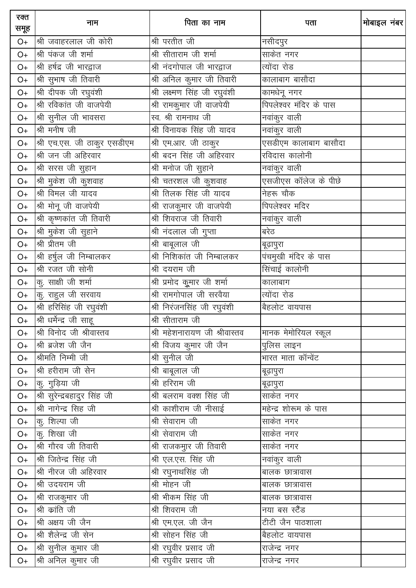| रक्त<br>समूह | नाम                          | पिता का नाम                       | पता                       | मोबाइल नंबर |
|--------------|------------------------------|-----------------------------------|---------------------------|-------------|
| $O+$         | श्री जवाहरलाल जी कोरी        | श्री परतीत जी                     | नसीदपुर                   |             |
| $O+$         | श्री पंकज जी शर्मा           | श्री सीताराम जी शर्मा             | साकेत नगर                 |             |
| $O+$         | श्री हर्षद्र जी भारद्वाज     | श्री नंदगोपाल जी भारद्वाज         | त्योंदा रोड               |             |
| $O+$         | श्री सुभाष जी तिवारी         | श्री अनिल कुमार जी तिवारी         | कालाबाग बासौदा            |             |
| $O+$         | श्री दीपक जी रघुवंशी         | श्री लक्ष्मण सिंह जी रघुवंशी      | कामधेनू नगर               |             |
| $O+$         | श्री रविकांत जी वाजपेयी      | श्री रामकुमार जी वाजपेयी          | पिपलेश्वर मंदिर के पास    |             |
| $O+$         | श्री सुनील जी भावसरा         | स्व. श्री रामनाथ जी               | नवांकुर वाली              |             |
| $O+$         | श्री मनीष जी                 | श्री विनायक सिंह जी यादव          | नवांकुर वाली              |             |
| $O+$         | श्री एच.एस. जी ठाकुर एसडीएम  | श्री एम.आर. जी ठाकुर              | एसडीएम कालाबाग बासौदा     |             |
| $O+$         | श्री जन जी अहिरवार           | श्री बदन सिंह जी अहिरवार          | रविदास कालोनी             |             |
| $O+$         | श्री सरस जी सुहान            | श्री मनोज जी सुहाने               | नवांकुर वाली              |             |
| $O+$         | श्री मुकेश जी कुशवाह         | श्री चतरशल जी कुशवाह              | एसजीएस कॉलेज के पीछे      |             |
| $O+$         | श्री विमल जी यादव            | श्री तिलक सिंह जी यादव            | नेहरू चौक                 |             |
| $O+$         | श्री मोनू जी वाजपेयी         | श्री राजकुमार जी वाजपेयी          | पिपलेश्वर मंदिर           |             |
| $O+$         | श्री कृष्णकांत जी तिवारी     | श्री शिवराज जी तिवारी             | नवांकुर वाली              |             |
| $O+$         | श्री मुकेश जी सुहाने         | श्री नंदलाल जी गुप्ता             | बरेठ                      |             |
| $O+$         | श्री प्रीतम जी               | श्री बाबूलाल जी                   | बूढ़ापुरा                 |             |
| $O+$         | श्री हर्षुल जी निम्बालकर     | <u>श्री</u> निशिकांत जी निम्बालकर | पंचमुखी मंदिर के पास      |             |
| $O+$         | श्री रजत जी सोनी             | श्री दयराम जी                     | सिंचाई कालोनी             |             |
| $O+$         | क, साक्षी जी शर्मा           | श्री प्रमोद कूुमार जी शर्मा       | कालाबाग                   |             |
| $O+$         | कु. राहुल जी सरवाय           | श्री रामगोपाल जी सरवैया           | त्योंदा रोड               |             |
| $O+$         | श्री हरिसिंह जी रघुवंशी      | श्री निरंजनसिंह जी रघुवंशी        | बैहलोट वायपास             |             |
| $O+$         | श्री धर्मेन्द्र जी साहू      | श्री सीताराम जी                   |                           |             |
| $O+$         | श्री विनोद जी श्रीवास्तव     | श्री महेशनारायण जी श्रीवास्तव     | मानक मेमोरियल स्कूल       |             |
| $O+$         | श्री ब्रजेश जी जैन           | श्री विजय कुमार जी जैन            | पुलिस लाइन                |             |
| $O+$         | श्रीमति निम्मी जी            | श्री सुनील जी                     | <u>भारत माता कॉन्वेंट</u> |             |
| $O+$         | श्री हरीराम जी सेन           | श्री बाबूलाल जी                   | बूढ़ापुरा                 |             |
| $O+$         | कु. गुड़िया जी               | श्री हरिराम जी                    | बूढ़ापुरा                 |             |
| O+           | श्री सुरेन्द्रबहादुर सिंह जी | श्री बलराम वक्श सिंह जी           | साकेत नगर                 |             |
| $O+$         | श्री नागेन्द्र सिंह जी       | श्री काशीराम जी नीसाई             | महेन्द्र शोरूम के पास     |             |
| $O+$         | कु. शिल्पा जी                | श्री सेवाराम जी                   | साकेत नगर                 |             |
| $O+$         | कु. शिखा जी                  | <u>श्री सेवाराम</u> जी            | साकेत नगर                 |             |
| $O+$         | श्री गौरव जी तिवारी          | श्री राजकमुार जी तिवारी           | __<br>साकेत नगर           |             |
| O+           | श्री जितेन्द्र सिंह जी       | श्री एल.एस. सिंह जी               | नवांकुर वाली              |             |
| $O+$         | श्री नीरज जी अहिरवार         | श्री रघुनाथसिंह जी                | बालक छात्रावास            |             |
| $O+$         | श्री उदयराम जी               | श्री मोहन जी                      | बालक छात्रावास            |             |
| O+           | श्री राजकुमार जी             | श्री भीकम सिंह जी                 | बालक छात्रावास            |             |
| $O+$         | श्री क्रांति जी              | श्री शिवराम जी                    | नया बस स्टैंड             |             |
| $O+$         | श्री अक्षय जी जैन            | श्री एम.एल. जी जैन                | टीटी जैन पाठशाला          |             |
| $O+$         | श्री शैलेन्द्र जी सेन        | श्री सोहन सिंह जी                 | बैहलोट वायपास             |             |
| $O+$         | श्री सुनील कुमार जी          | श्री रघुवीर प्रसाद जी             | राजेन्द्र नगर             |             |
| $O+$         | श्री अनिल कुमार जी           | श्री रघुवीर प्रसाद जी             | राजेन्द्र नगर             |             |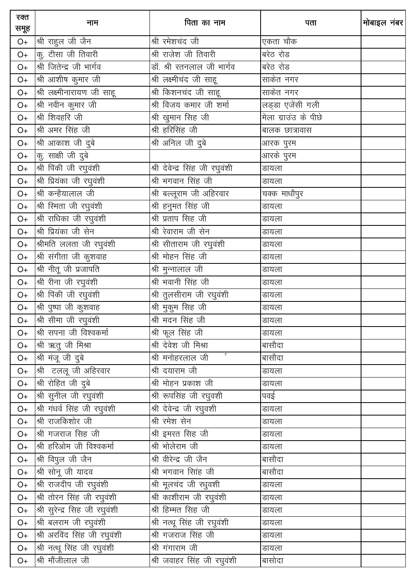| रक्त<br>समूह | नाम                           | पिता का नाम                     | पता                  | मोबाइल नंबर |
|--------------|-------------------------------|---------------------------------|----------------------|-------------|
| $O+$         | श्री राहुल जी जैन             | श्री रमेशचंद जी                 | एकता चौक             |             |
| $O+$         | कु. टीसा जी तिवारी            | श्री राजेश जी तिवारी            | बरेठ रोड             |             |
| $O+$         | श्री जितेन्द्र जी भार्गव      | डॉ. श्री रतनलाल जी भार्गव       | बरेठ रोड             |             |
| $O+$         | श्री आशीष कुमार जी            | श्री लक्ष्मीचंद जी साहू         | साकेत नगर            |             |
| $O+$         | श्री लक्ष्मीनारायण जी साहू    | श्री किशनचंद जी साहू            | साकेत नगर            |             |
| $O+$         | श्री नवीन कुमार जी            | श्री विजय कमार जी शर्मा         | लड्डा एजेंसी गली     |             |
| $O+$         | श्री शिवहरि जी                | श्री खुमान सिह जी               | मेला ग्राउंउ के पीछे |             |
| $O+$         | श्री अमर सिंह जी              | श्री हरिसिंह जी                 | बालक छात्रावास       |             |
| $O+$         | श्री आकाश जी दुबे             | श्री अनिल जी दुबे               | आरक पुरम             |             |
| $O+$         | कु. साक्षी जी दुबे            |                                 | _<br>आरके पुरम       |             |
| $O+$         | श्री पिंकी जी रघुवंशी         | श्री देवेन्द्र सिंह जी रघुवंशी  | डायला                |             |
| $O+$         | श्री प्रियंका जी रघुवंशी      | श्री भगवान सिंह जी              | डायला                |             |
| $O+$         | श्री कन्हैयालाल जी            | श्री बल्लूराम जी अहिरवार        | चक्क माधौपुर         |             |
| $O+$         | श्री रिमता जी रघुवंशी         | श्री हनुमत सिंह जी              | डायला                |             |
| $O+$         | श्री राधिका जी रघुवंशी        | श्री प्रताप सिह जी              | डायला                |             |
| $O+$         | श्री प्रियंका जी सेन          | श्री रेवाराम जी सेन             | डायला                |             |
| $O+$         | श्रीमति ललता जी रघुवंशी       | श्री सीताराम जी रघुवंशी         | डायला                |             |
| $O+$         | श्री संगीता जी कुशवाह         | श्री मोहन सिंह जी               | डायला                |             |
| $O+$         | श्री नीतू जी प्रजापति         | श्री मुन्नालाल जी               | डायला                |             |
| $O+$         | श्री रीना जी रघुवंशी          | श्री भवानी सिंह जी              | डायला                |             |
| $O+$         | श्री पिंकी जी रघुवंशी         | श्री तुलसीराम जी रघुवंशी        | डायला                |             |
| $O+$         | श्री पुष्पा जी कुशवाह         | श्री मुकुम सिह जी               | डायला                |             |
| $O+$         | श्री सीमा जी रघुवंशी          | श्री मदन सिंह जी                | डायला                |             |
| $O+$         | श्री सपना जी विश्वकर्मा       | श्री फूल सिंह जी                | डायला                |             |
| $O+$         | श्री ऋतु जी मिश्रा            | श्री देवेश जी मिश्रा            | बासौदा               |             |
| $O+$         | श्री मंजू जी दुबे             | $\mathbf c$<br>श्री मनोहरलाल जी | बासौदा               |             |
| $O+$         | श्री टललू जी अहिरवार          | श्री दयाराम जी                  | डायला                |             |
| $O+$         | श्री रोहित जी दुबे            | श्री मोहन प्रकाश जी             | डायला                |             |
| O+           | श्री सुनील जी रघुवंशी         | श्री रूपसिंह जी रघुवशी          | पवई                  |             |
| O+           | श्री गंधर्व सिंह जी रघुवंशी   | श्री देवेन्द्र जी रघुवशी        | डायला                |             |
| $O+$         | श्री राजकिशोर जी              | श्री रमेश सेन                   | डायला                |             |
| $O+$         | श्री गजराज सिंह जी            | श्री इमरत सिह जी                | डायला                |             |
| $O+$         | श्री हरिओम जी विश्वकर्मा      | श्री भोलेराम जी                 | डायला                |             |
| $O+$         | श्री विपुल जी जैन             | श्री वीरेन्द्र जी जैन           | बासौदा               |             |
| O+           | श्री सोनू जी यादव             | श्री भगवान सिांह जी             | बासौदा               |             |
| $O+$         | श्री राजदीप जी रघुवंशी        | श्री मूलचंद जी रधुवशी           | डायला                |             |
| $O+$         | श्री तोरन सिंह जी रघुवंशी     | श्री काशीराम जी रघुवंशी         | डायला                |             |
| $O+$         | श्री सुरेन्द्र सिह जी रघुवंशी | श्री हिम्मत सिह जी              | डायला                |             |
| O+           | श्री बलराम जी रघुवंशी         | श्री नत्थू सिंह जी रघुवंशी      | डायला                |             |
| $O+$         | श्री अरविंद सिंह जी रघुवंशी   | श्री गजराज सिंह जी              | डायला                |             |
| $O+$         | श्री नत्थू सिंह जी रघुवंशी    | श्री गंगाराम जी                 | डायला                |             |
| $O+$         | श्री मौंजीलाल जी              | श्री जवाहर सिंह जी रघुवंशी      | बासोदा               |             |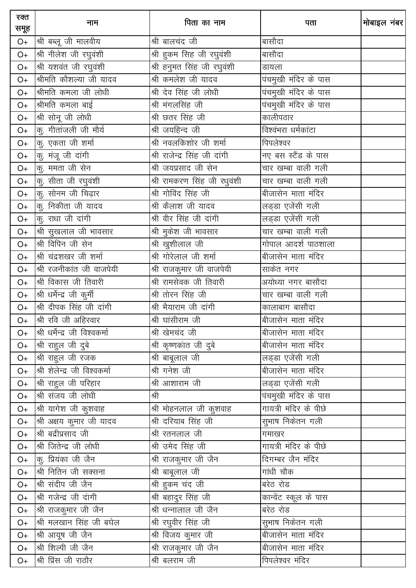| रक्त<br>समूह | नाम                           | पिता का नाम                         | पता                   | मोबाइल नंबर |
|--------------|-------------------------------|-------------------------------------|-----------------------|-------------|
| $O+$         | श्री बब्लू जी मालवीय          | श्री बालचंद जी                      | बासौदा                |             |
| $O+$         | श्री नीलेश जी रघुवंशी         | श्री हुकम सिह जी रघुवंशी            | बासौदा                |             |
| $O+$         | श्री यशवंत जी रघुवंशी         | श्री हनुमत सिंह जी रघुवंशी          | डायला                 |             |
| $O+$         | श्रीमति कौशल्या जी यादव       | श्री कमलेश जी यादव                  | पंचमुखी मंदिर के पास  |             |
| $O+$         | श्रीमति कमला जी लोधी          | श्री देव सिंह जी लोधी               | पंचमुखी मंदिर के पास  |             |
| $O+$         | श्रीमति कमला बाई              | श्री मंगलसिंह जी                    | पंचमुखी मंदिर के पास  |             |
| $O+$         | श्री सोनू जी लोधी             | श्री छतर सिंह जी                    | कालीपठार              |             |
| $O+$         | कु. गीतांजली जी मौर्य         | श्री जयहिन्द जी                     | विश्वंभरा धर्मकांटा   |             |
| $O+$         | कु. एकता जी शर्मा             | श्री नवलकिशोर जी शर्मा              | पिपलेश्वर             |             |
| $O+$         | कु. मंजू जी दांगी             | श्री राजेन्द्र सिंह जी दांगी        | नए बस स्टैंड के पास   |             |
| $O+$         | कु. ममता जी सेन               | श्री जयप्रसाद जी सेन                | चार खम्बा वाली गली    |             |
| $O+$         | कु. सीता जी रघुवंशी           | श्री रामकरण सिंह जी रधुवंशी         | चार खम्बा वाली गली    |             |
| $O+$         | कु. सोनम जी चिढ़ार            | श्री गोविंद सिंह जी                 | बीजासेन माता मंदिर    |             |
| $O+$         | कु. निकीता जी यादव            | श्री कैलाश जी यादव                  | लड्डा एजेंसी गली      |             |
| $O+$         | कु. राधा जी दांगी             | श्री वीर सिंह जी दांगी              | लड्डा एजेंसी गली      |             |
| $O+$         | श्री सुखलाल जी भावसार         | श्री मुकेश जी भावसार                | चार खम्बा वाली गली    |             |
| $O+$         | श्री विपिन जी सेन             | <u>श्री</u> खुशीलाल जी              | गोपाल आदर्श पाठशाला   |             |
| $O+$         | श्री चंद्रशखर जी शर्मा        | श्री गोरेलाल जी शर्मा               | बीजासेन माता मंदिर    |             |
| $O+$         | श्री रजनीकांत जी वाजपेयी      | श्री राजकुमार जी वाजपेयी            | _<br>साकेत नगर        |             |
| $O+$         | श्री विकास जी तिवारी          | श्री रामसेवक जी तिवारी              | अयोध्या नगर बासौदा    |             |
| $O+$         | श्री धर्मेन्द्र जी कुर्मी     | श्री तोरन सिंह जी                   | चार खम्बा वाली गली    |             |
| $O+$         | श्री दीपक सिंह जी दांगी       | श्री भैयाराम जी दांगी               | कालाबाग बासौदा        |             |
| $O+$         | श्री रवि जी अहिरवार           | श्री घांसीराम जी                    | बीजासेन माता मंदिर    |             |
| $O+$         | श्री धर्मेन्द्र जी विश्वकर्मा | श्री खेमचंद जी                      | बीजासेन माता मंदिर    |             |
| O+           | श्री राहुल जी दुबे            | श्री कृष्णकांत जी दुबे              | बीजासेन माता मंदिर    |             |
| O+           | श्री राहुल जी रजक             | श्री बाबूलाल जी                     | लड्डा एजेंसी गली      |             |
| $O+$         | श्री शेलेन्द्र जी विश्वकर्मा  | श्री गनेश जी                        | बीजासेन माता मंदिर    |             |
| O+           | श्री राहुल जी परिहार          | $\overline{\mathfrak{A}}$ आशाराम जी | लड्डा एजेंसी गली      |             |
| $O+$         | श्री संजय जी लोधी             | श्री                                | पंचमुखी मंदिर के पास  |             |
| O+           | श्री यागेश जी कुशवाह          | श्री मोहनलाल जी कुशवाह              | गायत्री मंदिर के पीछे |             |
| O+           | श्री अक्षय कुमार जी यादव      | श्री दरियाब सिंह जी                 | सुभाष निकेतन गली      |             |
| O+           | श्री बद्रीप्रसाद जी           | श्री रतनलाल जी                      | गमाखर                 |             |
| O+           | श्री जितेन्द्र जी लोधी        | श्री उमेद सिंह जी                   | गायत्री मंदिर के पीछे |             |
| O+           | कु. प्रियंका जी जैन           | श्री राजकुमार जी जैन                | दिगम्बर जैन मंदिर     |             |
| O+           | श्री नितिन जी सक्सना          | श्री बाबूलाल जी                     | गांधी चौक             |             |
| O+           | श्री संदीप जी जैन             | श्री हुकम चंद जी                    | बरेठ रोड              |             |
| O+           | श्री गजेन्द्र जी दांगी        | श्री बहादुर सिंह जी                 | कान्वेंट स्कूल के पास |             |
| O+           | श्री राजकुमार जी जैन          | श्री धन्नालाल जी जैन                | बरेठ रोड              |             |
| O+           | श्री मलखान सिंह जी बघेल       | श्री रघुवीर सिंह जी                 | सुभाष निकेतन गली      |             |
| O+           | श्री आयूष जी जैन              | ___<br>श्री विजय कुमार जी           | बीजासेन माता मंदिर    |             |
| O+           | श्री शिल्पी जी जैन            | श्री राजकुमार जी जैन                | बीजासेन माता मंदिर    |             |
| $O+$         | श्री प्रिंस जी राठौर          | $\overline{\mathfrak{A}}$ बलराम जी  | पिपलेश्वर मंदिर       |             |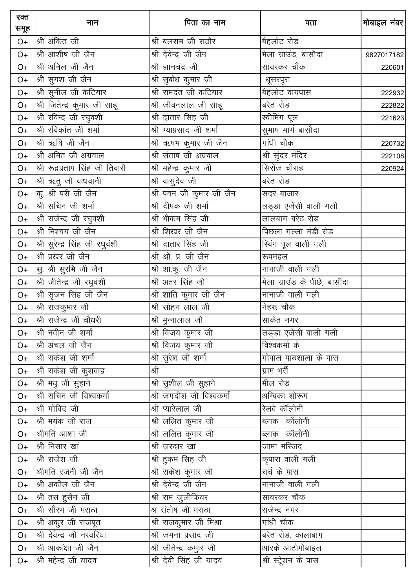| रक्त<br>समूह | नाम                             | पिता का नाम                | पता                               | मोबाइल नंबर |
|--------------|---------------------------------|----------------------------|-----------------------------------|-------------|
| $O+$         | श्री अंकित जी                   | श्री बलराम जी राठौर        | बैहलोट रोड                        |             |
| $O+$         | श्री आशीष जी जैन                | श्री देवेन्द्र जी जैन      |                                   | 9827017182  |
| $O+$         | श्री अनिल जी जैन                | श्री ज्ञानचंद्र जी         | सावरकर चौक                        | 220601      |
| $O+$         | श्री सुयश जी जैन                | श्री सुबोध कुमार जी        | धूसरपुरा                          |             |
| $O+$         | श्री सुनील जी कटियार            | श्री रामदंत जी कटियार      | बैहलोट वायपास                     | 222932      |
| $O+$         | श्री जितेन्द्र कुमार जी साहू    | श्री जीवनलाल जी साहू       | बरेठ रोड                          | 222822      |
| $O+$         | श्री रविन्द्र जी रघुवंशी        | श्री दातार सिंह जी         | स्वीमिंग पूल                      | 221623      |
| $O+$         | श्री रविकांत जी शर्मा           | श्री ग्याप्रसाद जी शर्मा   | सुभाष मार्ग बासौदा                |             |
| $O+$         | श्री ऋषि जी जैन                 | श्री ऋषभ कुमार जी जैन      | गांधी चौक                         | 220732      |
| $O+$         | श्री अमित जी अग्रवाल            | श्री संताष जी अग्रवाल      | श्री सुंदर मंदिर                  | 222108      |
| $O+$         | श्री रूद्रप्रताप सिंह जी तिवारी | श्री महेन्द्र कुमार जी     | सिरोंज चौराह                      | 220924      |
| $O+$         | श्री ऋतु जी वाधवानी             | श्री वासुदेव जी            | बरेठ रोड                          |             |
| $O+$         | कु. श्री परी जी जैन             | श्री पवन जी कुमार जी जैन   | सदर बाजार                         |             |
| $O+$         | श्री सचिन जी शर्मा              | श्री दीपक जी शर्मा         | लड्डा एजेंसी वाली गली             |             |
| $O+$         | श्री राजेन्द्र जी रघुवंशी       | श्री भीकम सिंह जी          | लालबाग बरेठ रोड                   |             |
| $O+$         | श्री निश्चय जी जैन              | श्री शिखर जी जैन           | पिछला गल्ला मंडी रोड              |             |
| $O+$         | श्री सुरेन्द्र सिंह जी रघुवंशी  | श्री दातार सिंह जी         | स्विंग पूल वाली गल <mark>ी</mark> |             |
| $O+$         | श्री प्रखर जी जैन               | श्री ओ. प्र. जी जैन        | रूपमहल                            |             |
| $O+$         | सु. श्री सुरभि जी जैन           | श्री शा.कु. जी जैन         | नानाजी वाली गली                   |             |
| $O+$         | श्री जीतेन्द्र जी रघुवंशी       | श्री अतर सिंह जी           | मेला ग्राउंड के पीछे, बासौदा      |             |
| $O+$         | श्री सृजन सिंह जी जैन           | श्री शांति कुमार जी जैन    | नानाजी वाली गली                   |             |
| $O+$         | श्री राजकुमार जी                | श्री सोहन लाल जी           | नेहरू चौक                         |             |
| $O+$         | श्री राजेन्द्र जी चौधरी         | श्री मुन्नालाल जी          | साकेत नगर                         |             |
| $O+$         | श्री नवीन जी शर्मा              | श्री विजय कुमार जी         | लड़डा एजेंसी वाली गली             |             |
| $O+$         | श्री अंचल जी जैन                | श्री विजय कुमार जी         | विश्वकर्मा के                     |             |
| $O+$         | श्री राकेश जी शर्मा             | श्री सुरेश जी शर्मा        | गोपाल पाठशाला के पास              |             |
| $O+$         | श्री राकेश जी कुशवाह            | श्री                       | ग्राम भर्री                       |             |
| $O+$         | श्री मधु जी सुहाने              | श्री सुशील जी सुहाने       | मील रोड                           |             |
| $O+$         | श्री सचिन जी विश्वकर्मा         | श्री जगदीश जी विश्वकर्मा   | अम्बिका शोरूम                     |             |
| $O+$         | श्री गोविंद जी                  | <u>श्री प्यारेलाल जी</u>   | रेलवे कॉलोनी                      |             |
| O+           | श्री मयंक जी राज                | श्री ललित कुमार जी         | ब्लाक कॉलोनी                      |             |
| O+           | श्रीमति आशा जी                  | <u>श्री ललित कु</u> मार जी | ब्लाक कॉलोनी                      |             |
| $O+$         | श्री निसार खां                  | श्री जरदार खां             | जामा मस्जिद                       |             |
| O+           | श्री राजेश जी                   | श्री हुकम सिह जी           | कृपारा वाली गली                   |             |
| $O+$         | श्रीमति रजनी जी जैन             | श्री राकेश कुमार जी        | चर्च के पास                       |             |
| $O+$         | श्री अकील जी जैन                | श्री देवेन्द्र जी जैन      | नानाजी वाली गली                   |             |
| O+           | श्री तस हुसैन जी                | श्री राम जुलीफियर          | सावरकर चौक                        |             |
| O+           | श्री सौरभ जी मराठा              | श्र संतोष जी मराठा         | राजेन्द्र नगर                     |             |
| $O+$         | श्री अंकुर जी राजपूत            | श्री राजकुमार जी मिश्रा    | गांधी चौक                         |             |
| $O+$         | श्री देवेन्द्र जी नरवरिया       | श्री जमना प्रसाद जी        | बरेठ रोड, कालाबाग                 |             |
| O+           | श्री आकांक्षा जी जैन            | श्री जीतेन्द्र कमुार जी    | आरके आटोमोबाइल                    |             |
| O+           | श्री महेन्द्र जी यादव           | श्री देवी सिंह जी यादव     | श्री स्ट्रेशन के पास              |             |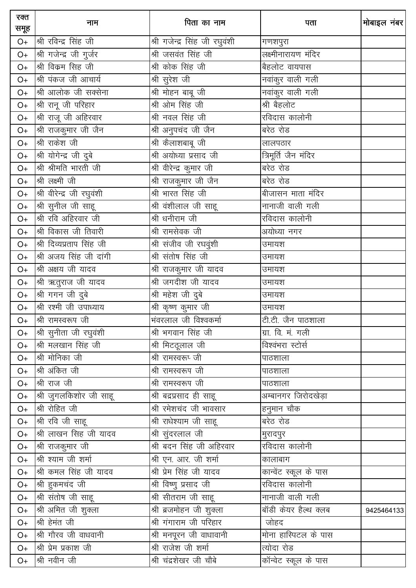| रक्त<br>समूह   | नाम                       | पिता का नाम                   | पता                               | मोबाइल नंबर |
|----------------|---------------------------|-------------------------------|-----------------------------------|-------------|
| $O+$           | श्री रविन्द्र सिंह जी     | श्री गजेन्द्र सिंह जी रघुवंशी | गणशपुरा                           |             |
| $O+$           | श्री गजेन्द्र जी गुर्जर   | श्री जसवंत सिंह जी            | लक्ष्मीनारायण मंदिर               |             |
| $O+$           | श्री विक्रम सिंह जी       | श्री कोक सिंह जी              | बैहलोट वायपास                     |             |
| $O+$           | श्री पंकज जी आचार्य       | श्री सुरेश जी                 | नवांकुर वाली गली                  |             |
| $O+$           | श्री आलोक जी सक्सेना      | श्री मोहन बाबू जी             | नवांकुर वाली गली                  |             |
| $O+$           | श्री रानू जी परिहार       | श्री ओम सिंह जी               | श्री बैहलोट                       |             |
| $O+$           | श्री राजू जी अहिरवार      | श्री नवल सिंह जी              | रविदास कालोनी                     |             |
| $O+$           | श्री राजकुमार जी जैन      | श्री अनुपचंद जी जैन           | बरेठ रोड                          |             |
| $O+$           | श्री राकेश जी             | श्री कैलाशबाबू जी             | लालपठार                           |             |
| $O+$           | श्री योगेन्द्र जी दुबे    | श्री अयोध्या प्रसाद जी        | त्रिमूर्ति जैन मंदिर              |             |
| $O+$           | श्री श्रीमति भारती जी     | श्री वीरेन्द्र कुमार जी       | बरेठ रोड                          |             |
| $O+$           | श्री लक्ष्मी जी           | श्री राजकुमार जी जैन          | बरेठ रोड                          |             |
| $O+$           | श्री वीरेन्द्र जी रघुवंशी | श्री भारत सिंह जी             | बीजासन माता मंदिर                 |             |
| $O+$           | श्री सुनील जी साहू        | श्री वंशीलाल जी साहू          | नानाजी वाली गली                   |             |
| $O+$           | श्री रवि अहिरवार जी       | श्री धनीराम जी                | रविदास कालोनी                     |             |
| $O+$           | श्री विकास जी तिवारी      | श्री रामसेवक जी               | अयोध्या नगर                       |             |
| $O+$           | श्री दिव्यप्रताप सिंह जी  | श्री संजीव जी रघवुंशी         | उमायश                             |             |
| $O+$           | श्री अजय सिंह जी दांगी    | श्री संतोष सिंह जी            | उमायश                             |             |
| $O+$           | श्री अक्षय जी यादव        | श्री राजकुमार जी यादव         | उमायश                             |             |
| $O+$           | श्री ऋतुराज जी यादव       | श्री जगदीश जी यादव            | उमायश                             |             |
| $\mathsf{O}+$  | श्री गगन जी दुबे          | श्री महेश जी दुबे             | उमायश                             |             |
| $O+$           | श्री रश्मी जी उपाध्याय    | श्री कृष्ण कुमार जी           | उमायश                             |             |
| $O+$           | श्री रामस्वरूप जी         |                               | टी.टी. जैन पाठशाला                |             |
| $O+$           | श्री सुनीता जी रघुवंशी    | श्री भगवान सिंह जी            | ग्रा. वि. मं. गली                 |             |
| $O+$           | श्री मलखान सिंह जी        | श्री मिटदूलाल जी              | विश्वंभरा स्टोर्स                 |             |
| $O+$           | श्री मोनिका जी            | श्री रामस्वरूप जी             | पाठशाला                           |             |
| $O+$           | श्री अंकित जी             | श्री रामस्वरूप जी             | पाठशाला                           |             |
| $O+$           | श्री राज जी               | श्री रामस्वरूप जी             | पाठशाला                           |             |
| O+             | श्री जुगलकिशोर जी साहू    | श्री बद्रप्रसाद ही साहू       | अम्बानगर जिरोदखेड़ा               |             |
| O <sup>+</sup> | श्री रोहित जी             | श्री रमेशचंद जी भावसार        | हनुमान चौक                        |             |
| O+             | श्री रवि जी साहू          | श्री राधेश्याम जी साहू        | बरेठ रोड                          |             |
| O <sup>+</sup> | श्री लाखन सिह जी यादव     | श्री सुंदरलाल जी              | मुरादपुर                          |             |
| O+             | श्री राजकुमार जी          | श्री बदन सिंह जी अहिरवार      | रविदास कालोनी                     |             |
| O+             | श्री श्याम जी शर्मा       | श्री एन. आर. जी शर्मा         | कालाबाग                           |             |
| $O+$           | श्री कमल सिंह जी यादव     | श्री प्रेम सिंह जी यादव       | कान्वेंट स्कूल के पास             |             |
| O+             | श्री हुकमचंद जी           | श्री विष्णु प्रसाद जी         | रविदास कालोनी                     |             |
| O+             | श्री संतोष जी साहू        | श्री सीतराम जी साहू           |                                   |             |
| O+             | श्री अमित जी शुक्ला       | श्री ब्रजमोहन जी शुक्ला       | <u>.<br/>बॉडी केयर हैल्थ क्लब</u> | 9425464133  |
| $O+$           | श्री हेमंत जी             | श्री गंगाराम जी परिहार        | जोहद                              |             |
| $O+$           | श्री गौरव जी वाधवानी      | श्री मनपूरन जी वाधावानी       | मोना हास्पिटल के पास              |             |
| O+             | श्री प्रेम प्रकाश जी      | श्री राजेश जी शर्मा           | त्योदा रोड                        |             |
| $O+$           | श्री नवीन जी              | श्री चंद्रशेखर जी चौबे        | कॉन्वेट स्कूल के पास              |             |